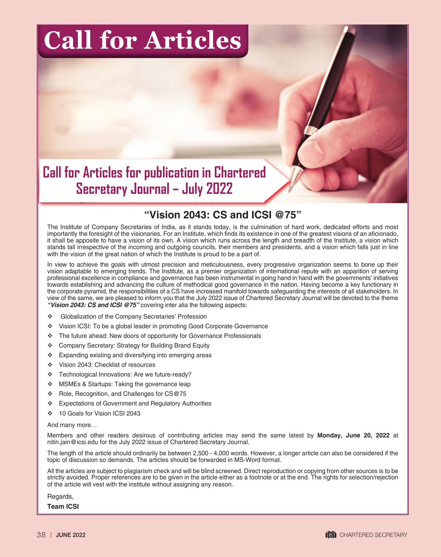## **Call for Articles**

**Call for Articles for publication in Chartered Secretary Journal – July 2022**

## **"Vision 2043: CS and ICSI @75"**

The Institute of Company Secretaries of India, as it stands today, is the culmination of hard work, dedicated efforts and most importantly the foresight of the visionaries. For an Institute, which finds its existence in one of the greatest visions of an aficionado, it shall be apposite to have a vision of its own. A vision which runs across the length and breadth of the Institute, a vision which stands tall irrespective of the incoming and outgoing councils, their members and presidents, and a vision which falls just in line with the vision of the great nation of which the Institute is proud to be a part of.

In view to achieve the goals with utmost precision and meticulousness, every progressive organization seems to bone up their vision adaptable to emerging trends. The Institute, as a premier organization of international repute with an apparition of serving professional excellence in compliance and governance has been instrumental in going hand in hand with the governments' initiatives towards establishing and advancing the culture of methodical good governance in the nation. Having become a key functionary in the corporate pyramid, the responsibilities of a CS have increased manifold towards safeguarding the interests of all stakeholders. In view of the same, we are pleased to inform you that the July 2022 issue of Chartered Secretary Journal will be devoted to the theme *"Vision 2043: CS and ICSI @75"* covering inter alia the following aspects:

- Globalization of the Company Secretaries' Profession
- \* Vision ICSI: To be a global leader in promoting Good Corporate Governance
- \* The future ahead: New doors of opportunity for Governance Professionals
- Company Secretary: Strategy for Building Brand Equity
- \* Expanding existing and diversifying into emerging areas
- Vision 2043: Checklist of resources
- \* Technological Innovations: Are we future-ready?
- ❖ MSMEs & Startups: Taking the governance leap
- Role, Recognition, and Challenges for CS@75
- Expectations of Government and Regulatory Authorities
- 10 Goals for Vision ICSI 2043

## And many more…

Members and other readers desirous of contributing articles may send the same latest by **Monday, June 20, 2022** at nitin.jain@icsi.edu for the July 2022 issue of Chartered Secretary Journal.

The length of the article should ordinarily be between 2,500 - 4,000 words. However, a longer article can also be considered if the topic of discussion so demands. The articles should be forwarded in MS-Word format.

All the articles are subject to plagiarism check and will be blind screened. Direct reproduction or copying from other sources is to be strictly avoided. Proper references are to be given in the article either as a footnote or at the end. The rights for selection/rejection of the article will vest with the institute without assigning any reason.

Regards,

**Team ICSI**